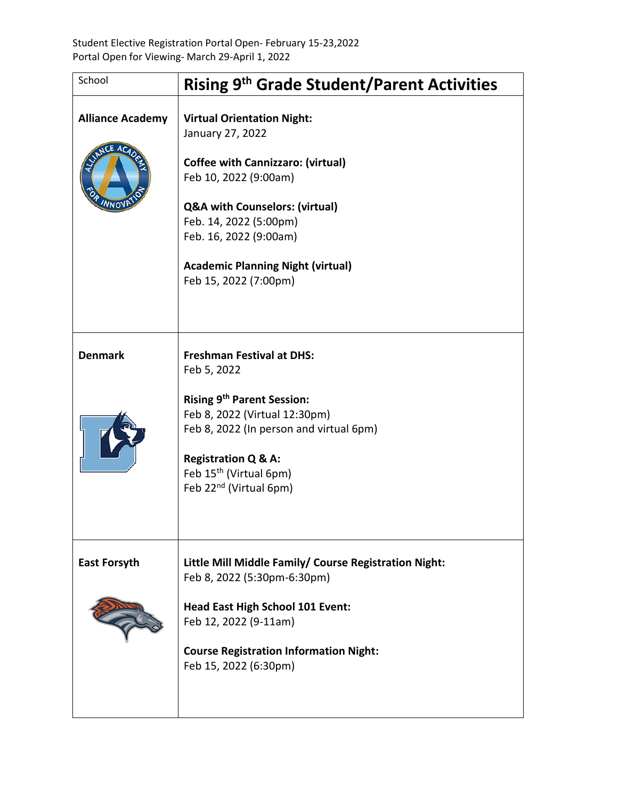| School                            | <b>Rising 9th Grade Student/Parent Activities</b>                                                                                                                                                                                                                                                |
|-----------------------------------|--------------------------------------------------------------------------------------------------------------------------------------------------------------------------------------------------------------------------------------------------------------------------------------------------|
| <b>Alliance Academy</b><br>CE ACA | <b>Virtual Orientation Night:</b><br>January 27, 2022<br><b>Coffee with Cannizzaro: (virtual)</b><br>Feb 10, 2022 (9:00am)<br><b>Q&amp;A with Counselors: (virtual)</b><br>Feb. 14, 2022 (5:00pm)<br>Feb. 16, 2022 (9:00am)<br><b>Academic Planning Night (virtual)</b><br>Feb 15, 2022 (7:00pm) |
| <b>Denmark</b>                    | <b>Freshman Festival at DHS:</b><br>Feb 5, 2022<br><b>Rising 9th Parent Session:</b><br>Feb 8, 2022 (Virtual 12:30pm)<br>Feb 8, 2022 (In person and virtual 6pm)<br><b>Registration Q &amp; A:</b><br>Feb 15 <sup>th</sup> (Virtual 6pm)<br>Feb 22 <sup>nd</sup> (Virtual 6pm)                   |
| <b>East Forsyth</b>               | Little Mill Middle Family/ Course Registration Night:<br>Feb 8, 2022 (5:30pm-6:30pm)<br><b>Head East High School 101 Event:</b><br>Feb 12, 2022 (9-11am)<br><b>Course Registration Information Night:</b><br>Feb 15, 2022 (6:30pm)                                                               |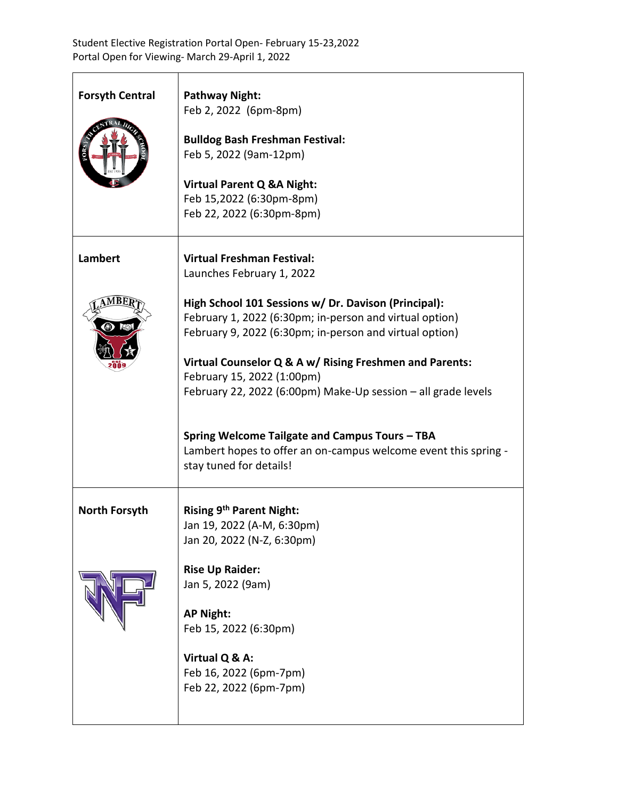| <b>Forsyth Central</b> | <b>Pathway Night:</b>                                           |
|------------------------|-----------------------------------------------------------------|
|                        | Feb 2, 2022 (6pm-8pm)                                           |
|                        |                                                                 |
|                        | <b>Bulldog Bash Freshman Festival:</b>                          |
|                        | Feb 5, 2022 (9am-12pm)                                          |
|                        |                                                                 |
|                        | <b>Virtual Parent Q &amp;A Night:</b>                           |
|                        | Feb 15,2022 (6:30pm-8pm)                                        |
|                        | Feb 22, 2022 (6:30pm-8pm)                                       |
|                        |                                                                 |
| <b>Lambert</b>         | <b>Virtual Freshman Festival:</b>                               |
|                        | Launches February 1, 2022                                       |
|                        |                                                                 |
|                        | High School 101 Sessions w/ Dr. Davison (Principal):            |
|                        | February 1, 2022 (6:30pm; in-person and virtual option)         |
|                        | February 9, 2022 (6:30pm; in-person and virtual option)         |
|                        |                                                                 |
|                        | Virtual Counselor Q & A w/ Rising Freshmen and Parents:         |
|                        | February 15, 2022 (1:00pm)                                      |
|                        | February 22, 2022 (6:00pm) Make-Up session - all grade levels   |
|                        |                                                                 |
|                        |                                                                 |
|                        | Spring Welcome Tailgate and Campus Tours - TBA                  |
|                        | Lambert hopes to offer an on-campus welcome event this spring - |
|                        | stay tuned for details!                                         |
|                        |                                                                 |
| <b>North Forsyth</b>   | Rising 9 <sup>th</sup> Parent Night:                            |
|                        | Jan 19, 2022 (A-M, 6:30pm)                                      |
|                        | Jan 20, 2022 (N-Z, 6:30pm)                                      |
|                        |                                                                 |
|                        | <b>Rise Up Raider:</b>                                          |
|                        | Jan 5, 2022 (9am)                                               |
|                        | <b>AP Night:</b>                                                |
|                        | Feb 15, 2022 (6:30pm)                                           |
|                        |                                                                 |
|                        | Virtual Q & A:                                                  |
|                        | Feb 16, 2022 (6pm-7pm)                                          |
|                        | Feb 22, 2022 (6pm-7pm)                                          |
|                        |                                                                 |
|                        |                                                                 |